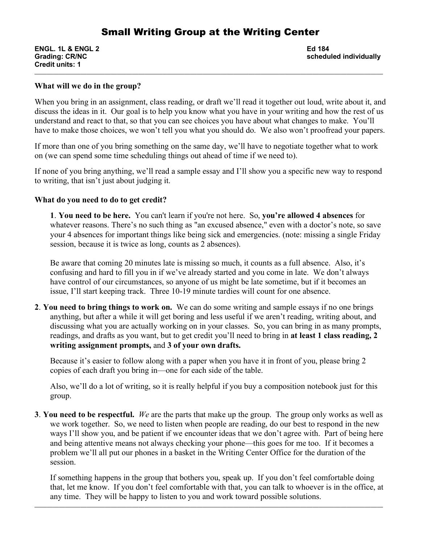# Small Writing Group at the Writing Center

**ENGL. 1L & ENGL 2 Ed 184 Credit units: 1**

**Grading: CR/NC scheduled individually**

### **What will we do in the group?**

When you bring in an assignment, class reading, or draft we'll read it together out loud, write about it, and discuss the ideas in it. Our goal is to help you know what you have in your writing and how the rest of us understand and react to that, so that you can see choices you have about what changes to make. You'll have to make those choices, we won't tell you what you should do. We also won't proofread your papers.

\_\_\_\_\_\_\_\_\_\_\_\_\_\_\_\_\_\_\_\_\_\_\_\_\_\_\_\_\_\_\_\_\_\_\_\_\_\_\_\_\_\_\_\_\_\_\_\_\_\_\_\_\_\_\_\_\_\_\_\_\_\_\_\_\_\_\_\_\_\_\_\_\_\_\_\_\_\_\_\_\_\_\_\_\_\_\_\_\_\_\_\_\_\_\_\_\_\_\_\_\_\_\_\_\_\_\_\_\_\_\_\_\_\_

If more than one of you bring something on the same day, we'll have to negotiate together what to work on (we can spend some time scheduling things out ahead of time if we need to).

If none of you bring anything, we'll read a sample essay and I'll show you a specific new way to respond to writing, that isn't just about judging it.

#### **What do you need to do to get credit?**

**1**. **You need to be here.** You can't learn if you're not here. So, **you're allowed 4 absences** for whatever reasons. There's no such thing as "an excused absence," even with a doctor's note, so save your 4 absences for important things like being sick and emergencies. (note: missing a single Friday session, because it is twice as long, counts as 2 absences).

Be aware that coming 20 minutes late is missing so much, it counts as a full absence. Also, it's confusing and hard to fill you in if we've already started and you come in late. We don't always have control of our circumstances, so anyone of us might be late sometime, but if it becomes an issue, I'll start keeping track. Three 10-19 minute tardies will count for one absence.

**2**. **You need to bring things to work on.** We can do some writing and sample essays if no one brings anything, but after a while it will get boring and less useful if we aren't reading, writing about, and discussing what you are actually working on in your classes. So, you can bring in as many prompts, readings, and drafts as you want, but to get credit you'll need to bring in **at least 1 class reading, 2 writing assignment prompts,** and **3 of your own drafts.** 

Because it's easier to follow along with a paper when you have it in front of you, please bring 2 copies of each draft you bring in—one for each side of the table.

Also, we'll do a lot of writing, so it is really helpful if you buy a composition notebook just for this group.

**3**. **You need to be respectful.** *We* are the parts that make up the group. The group only works as well as we work together. So, we need to listen when people are reading, do our best to respond in the new ways I'll show you, and be patient if we encounter ideas that we don't agree with. Part of being here and being attentive means not always checking your phone—this goes for me too. If it becomes a problem we'll all put our phones in a basket in the Writing Center Office for the duration of the session.

If something happens in the group that bothers you, speak up. If you don't feel comfortable doing that, let me know. If you don't feel comfortable with that, you can talk to whoever is in the office, at any time. They will be happy to listen to you and work toward possible solutions.

\_\_\_\_\_\_\_\_\_\_\_\_\_\_\_\_\_\_\_\_\_\_\_\_\_\_\_\_\_\_\_\_\_\_\_\_\_\_\_\_\_\_\_\_\_\_\_\_\_\_\_\_\_\_\_\_\_\_\_\_\_\_\_\_\_\_\_\_\_\_\_\_\_\_\_\_\_\_\_\_\_\_\_\_\_\_\_\_\_\_\_\_\_\_\_\_\_\_\_\_\_\_\_\_\_\_\_\_\_\_\_\_\_\_